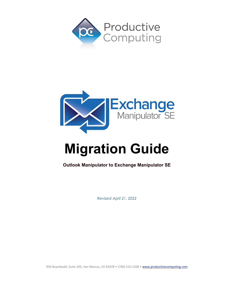



# **Migration Guide**<br> **Outlook** Manipulator to Exchange Manipulator SE

*Revised April 21, 2022*

950 Boardwalk, Suite 205, San Marcos, CA 92078 · (760) 510-1200 · www.productivecomputing.com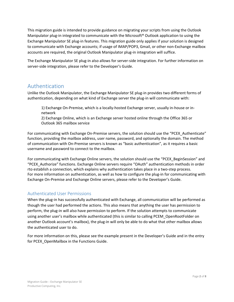This migration guide is intended to provide guidance on migrating your scripts from using the Outlook Manipulator plug-in integrated to communicate with the Microsoft® Outlook application to using the Exchange Manipulator SE plug-in features. This migration guide only applies if your solution is designed to communicate with Exchange accounts; if usage of IMAP/POP3, Gmail, or other non-Exchange mailbox accounts are required, the original Outlook Manipulator plug-in integration will suffice.

The Exchange Manipulator SE plug-in also allows for server-side integration. For further information on server-side integration, please refer to the Developer's Guide.

# Authentication

Unlike the Outlook Manipulator, the Exchange Manipulator SE plug-in provides two different forms of authentication, depending on what kind of Exchange server the plug-in will communicate with:

1) Exchange On-Premise, which is a locally-hosted Exchange server, usually in-house or innetwork

2) Exchange Online, which is an Exchange server hosted online through the Office 365 or Outlook 365 mailbox service

For communicating with Exchange On-Premise servers, the solution should use the "PCEX Authenticate" function, providing the mailbox address, user name, password, and optionally the domain. The method of communication with On-Premise servers is known as "basic authentication", as it requires a basic username and password to connect to the mailbox.

For communicating with Exchange Online servers, the solution should use the "PCEX\_BeginSession" and "PCEX\_Authorize" functions. Exchange Online servers require "OAuth" authentication methods in order rto establish a connection, which explains why authentication takes place in a two-step process. For more information on authentication, as well as how to configure the plug-in for communicating with Exchange On-Premise and Exchange Online servers, please refer to the Developer's Guide.

### Authenticated User Permissions

When the plug-in has successfully authenticated with Exchange, all communication will be performed as though the user had performed the actions. This also means that anything the user has permission to perform, the plug-in will also have permission to perform. If the solution attempts to communicate using another user's mailbox while authenticated (this is similar to calling PCEM\_OpenRootFolder on another Outlook account's mailbox), the plug-in will only be able to do what that other mailbox allows the authenticated user to do.

For more information on this, please see the example present in the Developer's Guide and in the entry for PCEX OpenMailbox in the Functions Guide.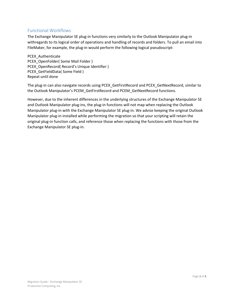# Functional Workflows

The Exchange Manipulator SE plug-in functions very similarly to the Outlook Manipulator plug-in withregards to its logical order of operations and handling of records and folders. To pull an email into FileMaker, for example, the plug-in would perform the following logical pseudoscript:

PCEX Authenticate PCEX OpenFolder( Some Mail Folder ) PCEX\_OpenRecord( Record's Unique Identifier ) PCEX\_GetFieldData( Some Field ) Repeat until done

The plug-in can also navigate records using PCEX\_GetFirstRecord and PCEX\_GetNextRecord, similar to the Outlook Manipulator's PCEM\_GetFirstRecord and PCEM\_GetNextRecord functions.

However, due to the inherent differences in the underlying structures of the Exchange Manipulator SE and Outlook Manipulator plug-ins, the plug-in functions will not map when replacing the Outlook Manipulator plug-in with the Exchange Manipulator SE plug-in. We advise keeping the original Outlook Manipulator plug-in installed while performing the migration so that your scripting will retain the original plug-in function calls, and reference those when replacing the functions with those from the Exchange Manipulator SE plug-in.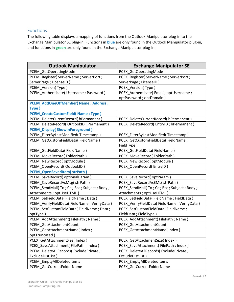# Functions

The following table displays a mapping of functions from the Outlook Manipulator plug-in to the Exchange Manipulator SE plug-in. Functions in **blue** are only found in the Outlook Manipulator plug-in, and functions in **green** are only found in the Exchange Manipulator plug-in:

| <b>Outlook Manipulator</b>                    | <b>Exchange Manipulator SE</b>              |
|-----------------------------------------------|---------------------------------------------|
| PCEM_GetOperatingMode                         | PCEX_GetOperatingMode                       |
| PCEM Register( ServerName ; ServerPort ;      | PCEX_Register( ServerName ; ServerPort ;    |
| ServerPage ; LicenseID)                       | ServerPage ; LicenseID )                    |
| PCEM_Version(Type)                            | PCEX_Version(Type)                          |
| PCEM_Authenticate( Username ; Password )      | PCEX_Authenticate(Email; optUsername;       |
|                                               | optPassword; optDomain)                     |
| <b>PCEM_AddOneOffMember( Name ; Address ;</b> |                                             |
| Type)                                         |                                             |
| <b>PCEM_CreateCustomField(Name; Type)</b>     |                                             |
| PCEM_DeleteCurentRecord( bPermanent )         | PCEX_DeleteCurrentRecord(bPermanent)        |
| PCEM_DeleteRecord(OutlookID; Permanent)       | PCEX_DeleteRecord(EntryID; bPermanent)      |
| <b>PCEM_Display(ShowInForeground)</b>         |                                             |
| PCEM_FilterByLastModified(Timestamp)          | PCEX_FilterByLastModified(Timestamp)        |
| PCEM GetCustomFieldData(FieldName)            | PCEX_GetCustomFieldData(FieldName;          |
|                                               | FieldType)                                  |
| PCEM_GetFieldData(FieldName)                  | PCEX_GetFieldData(FieldName)                |
| PCEM_MoveRecord(FolderPath)                   | PCEX_MoveRecord(FolderPath)                 |
| PCEM_NewRecord(optModule)                     | PCEX_NewRecord( optModule )                 |
| PCEM OpenRecord(OutlookID)                    | PCEX_OpenRecord(EntryID)                    |
| PCEM_OpenSavedItem(strPath)                   |                                             |
| PCEM_SaveRecord(optionalParam)                | PCEX_SaveRecord(optParam)                   |
| PCEM_SaveRecordAsMsg(strPath)                 | PCEX_SaveRecordAsEML(strPath)               |
| PCEM_SendMail(To; Cc; Bcc; Subject; Body;     | PCEX_SendMail(To; Cc; Bcc; Subject; Body;   |
| Attachments ; optUseHTML)                     | Attachments ; optUseHTML)                   |
| PCEM_SetFieldData(FieldName; Data)            | PCEX_SetFieldData(FieldName;FieldData)      |
| PCEM_VerifyFieldData(FieldName; VerifyData)   | PCEX_VerifyFieldData(FieldName; VerifyData) |
| PCEM_SetCustomFieldData(FieldName; Data;      | PCEX_SetCustomFieldData(FieldName;          |
| optType)                                      | FieldData ; FieldType)                      |
| PCEM_AddAttachment(FilePath; Name)            | PCEX_AddAttachment(FilePath; Name)          |
| PCEM GetAttachmentCount                       | PCEX_GetAttachmentCount                     |
| PCEM_GetAttachmentName( Index ;               | PCEX_GetAttachmentName( Index )             |
| optTruncated)                                 |                                             |
| PCEX_GetAttachmentSize( Index )               | PCEX GetAttachmentSize( Index )             |
| PCEX SaveAttachment(FilePath; Index)          | PCEX_SaveAttachment(FilePath; Index)        |
| PCEM DeleteAllRecords(ExcludePrivate;         | PCEX_DeleteAllRecords(ExcludePrivate;       |
| ExcludeDistList)                              | ExcludeDistList)                            |
| PCEM_EmptyAllDeletedItems                     | PCEX_EmptyAllDeletedItems                   |
| PCEM_GetCurrentFolderName                     | PCEX_GetCurrentFolderName                   |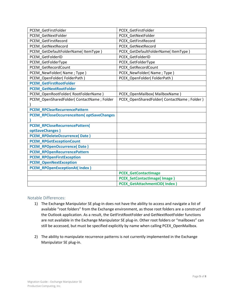| PCEM GetFirstFolder                         | PCEX GetFirstFolder                           |
|---------------------------------------------|-----------------------------------------------|
| PCEM GetNextFolder                          | PCEX GetNextFolder                            |
| PCEM GetFirstRecord                         | PCEX GetFirstRecord                           |
| PCEM GetNextRecord                          | PCEX GetNextRecord                            |
| PCEM GetDefaultFolderName(ItemType)         | PCEX GetDefaultFolderName(ItemType)           |
| PCEM GetFolderID                            | PCEX GetFolderID                              |
| PCEM GetFolderType                          | PCEX GetFolderType                            |
| PCEM GetRecordCount                         | PCEX GetRecordCount                           |
| PCEM_NewFolder(Name; Type)                  | PCEX_NewFolder(Name; Type)                    |
| PCEM OpenFolder(FolderPath)                 | PCEX OpenFolder(FolderPath)                   |
| <b>PCEM GetFirstRootFolder</b>              |                                               |
| <b>PCEM GetNextRootFolder</b>               |                                               |
| PCEM OpenRootFolder( RootFolderName)        | PCEX OpenMailbox( MailboxName)                |
| PCEM OpenSharedFolder( ContactName ; Folder | PCEX OpenSharedFolder( ContactName ; Folder ) |
|                                             |                                               |
| <b>PCEM_RPClearRecurrencePattern</b>        |                                               |
| PCEM_RPCloseOccurrenceItem( optSaveChanges  |                                               |
|                                             |                                               |
| PCEM_RPCloseRecurrencePattern(              |                                               |
| optSaveChanges)                             |                                               |
| <b>PCEM_RPDeleteOccurrence(Date)</b>        |                                               |
| <b>PCEM_RPGetExceptionCount</b>             |                                               |
| <b>PCEM_RPOpenOccurrence(Date)</b>          |                                               |
| <b>PCEM_RPOpenRecurrencePattern</b>         |                                               |
| <b>PCEM_RPOpenFirstException</b>            |                                               |
| <b>PCEM_OpenNextException</b>               |                                               |
| <b>PCEM_RPOpenExceptionAt(Index)</b>        |                                               |
|                                             | <b>PCEX GetContactImage</b>                   |
|                                             | <b>PCEX_SetContactImage(Image)</b>            |
|                                             | <b>PCEX GetAttachmentCID(Index)</b>           |

#### Notable Differences:

- 1) The Exchange Manipulator SE plug-in does not have the ability to access and navigate a list of available "root folders" from the Exchange environment, as those root folders are a construct of the Outlook application. As a result, the GetFirstRootFolder and GetNextRootFolder functions are not available in the Exchange Manipulator SE plug-in. Other root folders or "mailboxes" can still be accessed, but must be specified explicitly by name when calling PCEX\_OpenMailbox.
- 2) The ability to manipulate recurrence patterns is not currently implemented in the Exchange Manipulator SE plug-in.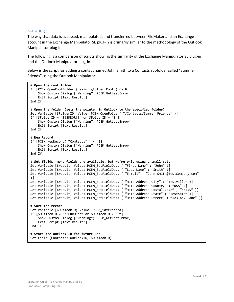#### **Scripting**

The way that data is accessed, manipulated, and transferred between FileMaker and an Exchange account in the Exchange Manipulator SE plug-in is primarily similar to the methodology of the Outlook Manipulator plug-in.

The following is a comparison of scripts showing the similarity of the Exchange Manipulator SE plug-in and the Outlook Manipulator plug-in.

Below is the script for adding a contact named John Smith to a Contacts subfolder called "Summer Friends" using the Outlook Manipulator:

```
# Open the root folder
If [PCEM OpenRootFolder ( Main::gFolder Root ) <> 0]
   Show Custom Dialog ["Warning"; PCEM GetLastError]
    Exit Script [Text Result:]
End If
# Open the folder (sets the pointer in Outlook to the specified folder)
Set Variable [$FolderID; Value: PCEM_OpenFolder( "/Contacts/Summer Friends" )]
If [$FolderID = "!!ERROR!!" or $FolderID = "?"]
    Show Custom Dialog ["Warning"; PCEM_GetLastError]
    Exit Script [Text Result:]
End If
# New Record
If [PCEM_NewRecord( "Contacts" ) <> 0]
    Show Custom Dialog ["Warning"; PCEM_GetLastError]
    Exit Script [Text Result:]
End If
# Set fields; more fields are available, but we're only using a small set.
Set Variable [$result; Value: PCEM_SetFieldData ( "First Name" ; "John" )]
Set Variable [$result; Value: PCEM_SetFieldData ( "Last Name" ; "Smith" )]
Set Variable [$result; Value: PCEM_SetFieldData ( "E-mail" ; "John.Smith@TestCompany.com"
)]
Set Variable [$result; Value: PCEM_SetFieldData ( "Home Address City" ; "Testville" )]
Set Variable [$result; Value: PCEM_SetFieldData ( "Home Address Country" ; "USA" )] 
Set Variable [$result; Value: PCEM_SetFieldData ( "Home Address Postal Code" ; "55555" )]
Set Variable [$result; Value: PCEM_SetFieldData ( "Home Address State" ; "Testsota" )]
Set Variable [$result; Value: PCEM SetFieldData ( "Home Address Street" ; "123 Any Lane" )]
# Save the record
Set Variable [$OutlookID; Value: PCEM_SaveRecord]
If [$0utlookID = "!!ERROR!!" or $0utlookID = " Show Custom Dialog ["Warning"; PCEM_GetLastError]
    Exit Script [Text Result:]
End If
# Store the Outlook ID for future use
Set Field [Contacts::OutlookID; $OutlookID]
```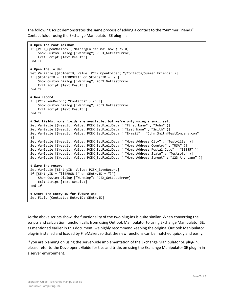The following script demonstrates the same process of adding a contact to the "Summer Friends" Contact folder using the Exchange Manipulator SE plug-in:

```
# Open the root mailbox
If [PCEX OpenMailbox ( Main::gFolder Mailbox ) <> 0]
   Show Custom Dialog ["Warning"; PCEX GetLastError]
    Exit Script [Text Result:]
End If
# Open the folder
Set Variable [$FolderID; Value: PCEX_OpenFolder( "/Contacts/Summer Friends" )]
If [$FolderID = "!!ERROR!!" or $FolderID = "?"]
    Show Custom Dialog ["Warning"; PCEX_GetLastError]
    Exit Script [Text Result:]
End If
# New Record
If [PCEX NewRecord( "Contacts" ) <> 0]
   Show Custom Dialog ["Warning"; PCEX GetLastError]
    Exit Script [Text Result:]
End If
# Set fields; more fields are available, but we're only using a small set.
Set Variable [$result; Value: PCEX_SetFieldData ( "First Name" ; "John" )]
Set Variable [$result; Value: PCEX_SetFieldData ( "Last Name" ; "Smith" )]
Set Variable [$result; Value: PCEX_SetFieldData ( "E-mail" ; "John.Smith@TestCompany.com" 
)]
Set Variable [$result; Value: PCEX_SetFieldData ( "Home Address City" ; "Testville" )]
Set Variable [$result; Value: PCEX_SetFieldData ( "Home Address Country" ; "USA" )]
Set Variable [$result; Value: PCEX_SetFieldData ( "Home Address Postal Code" ; "55555" )]
Set Variable [$result; Value: PCEX_SetFieldData ( "Home Address State" ; "Testsota" )]
Set Variable [$result; Value: PCEX_SetFieldData ( "Home Address Street" ; "123 Any Lane" )]
# Save the record
Set Variable [$EntryID; Value: PCEX_SaveRecord]
If [$Entropy = "!!EROR!!" or $Entropy = "? Show Custom Dialog ["Warning"; PCEX_GetLastError]
    Exit Script [Text Result:]
End If
# Store the Entry ID for future use
Set Field [Contacts::EntryID; $EntryID]
```
As the above scripts show, the functionality of the two plug-ins is quite similar. When converting the scripts and calculation function calls from using Outlook Manipulator to using Exchange Manipulator SE, as mentioned earlier in this document, we highly recommend keeping the original Outlook Manipulator plug-in installed and loaded by FileMaker, so that the new functions can be matched quickly and easily.

If you are planning on using the server-side implementation of the Exchange Manipulator SE plug-in, please refer to the Developer's Guide for tips and tricks on using the Exchange Manipulator SE plug-in in a server environment.